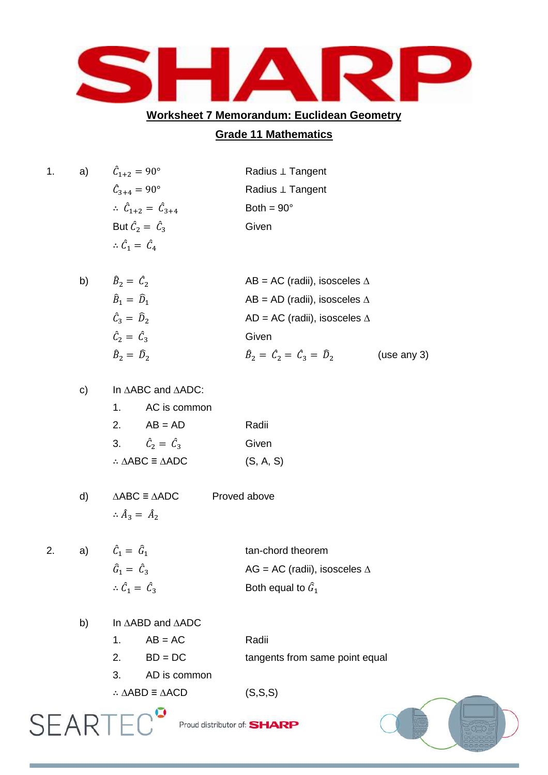

## **Worksheet 7 Memorandum: Euclidean Geometry**

## **Grade 11 Mathematics**

| a) | $\hat{C}_{1+2} = 90^{\circ}$                                         | Radius $\perp$ Tangent |
|----|----------------------------------------------------------------------|------------------------|
|    | $\hat{C}_{3+4} = 90^{\circ}$                                         | Radius $\perp$ Tangent |
|    | $\therefore \quad \hat{\mathcal{C}}_{1+2} = \hat{\mathcal{C}}_{3+4}$ | Both = $90^\circ$      |
|    | But $\hat{C}_2 = \hat{C}_3$                                          | Given                  |
|    | $\therefore \hat{C}_1 = \hat{C}_4$                                   |                        |
|    |                                                                      |                        |

| b) | $\hat{B}_2 = \hat{C}_2$                     | AB = AC (radii), isosceles $\Delta$             |             |
|----|---------------------------------------------|-------------------------------------------------|-------------|
|    | $\widehat{B}_1 = \widehat{D}_1$             | AB = AD (radii), isosceles $\Delta$             |             |
|    | $\hat{C}_3 = \hat{D}_2$                     | AD = AC (radii), isosceles $\Delta$             |             |
|    | $\hat{\mathcal{C}}_2 = \hat{\mathcal{C}}_3$ | Given                                           |             |
|    | $\hat{B}_2 = \hat{D}_2$                     | $\hat{B}_2 = \hat{C}_2 = \hat{C}_3 = \hat{D}_2$ | (use any 3) |

## c) In ∆ABC and ∆ADC:

| $1_{-}$                                         | AC is common            |           |
|-------------------------------------------------|-------------------------|-----------|
| <sup>2.</sup>                                   | $AB = AD$               | Radii     |
| 3.                                              | $\hat{C}_2 = \hat{C}_3$ | Given     |
| $\therefore \triangle ABC \equiv \triangle ADC$ |                         | (S, A, S) |

- d) ∆ABC ≡ ∆ADC Proved above  $\therefore \hat{A}_3 = \hat{A}_2$
- $2. a)$  $\hat{C}_1 = \hat{G}_1$  tan-chord theorem  $\widehat{G}_1 = \widehat{C}$  AG = AC (radii), isosceles ∆  $\therefore \hat{C}_1 = \hat{C}$  $\frac{1}{3}$  Both equal to  $\hat{G}_1$ 
	- b) In ∆ABD and ∆ADC

| $1 \quad \blacksquare$ | $AB = AC$    | Radii                          |
|------------------------|--------------|--------------------------------|
|                        | $BD = DC$    | tangents from same point equal |
| 3.                     | AD is common |                                |

Proud distributor of: **SHARP** 

∴  $\triangle ABD \equiv \triangle ACD$  (S,S,S)

**SEARTE(** 

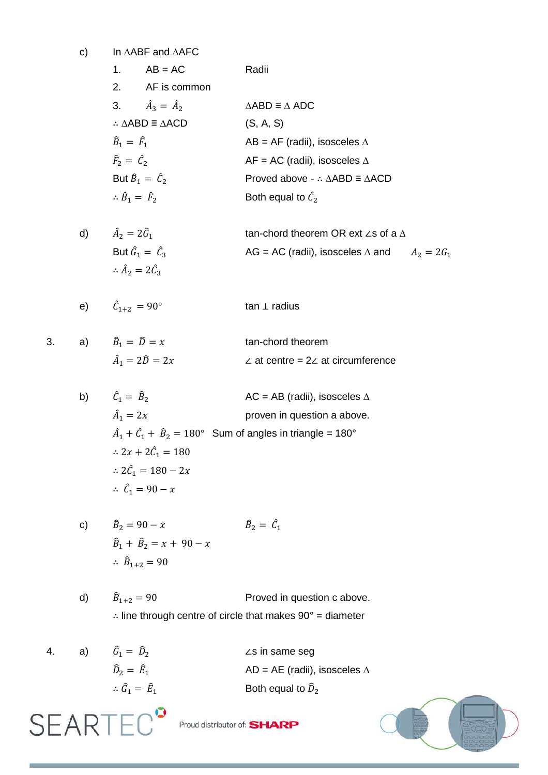c) In ∆ABF and ∆AFC

| $\mathbf{1}$ .                     | $AB = AC$                                       | Radii                                                          |
|------------------------------------|-------------------------------------------------|----------------------------------------------------------------|
|                                    | 2. AF is common                                 |                                                                |
|                                    | 3. $\hat{A}_3 = \hat{A}_2$                      | $\triangle ABD \equiv \triangle ADC$                           |
|                                    | $\therefore \triangle ABD \equiv \triangle ACD$ | (S, A, S)                                                      |
| $\hat{B}_1 = \hat{F}_1$            |                                                 | AB = AF (radii), isosceles $\Delta$                            |
| $\hat{F}_2 = \hat{C}_2$            |                                                 | AF = AC (radii), isosceles $\Delta$                            |
| But $\hat{B}_1 = \hat{C}_2$        |                                                 | Proved above - $\therefore \triangle ABD \equiv \triangle ACD$ |
| $\therefore \hat{B}_1 = \hat{F}_2$ |                                                 | Both equal to $\hat{C}_2$                                      |

d) 
$$
\hat{A}_2 = 2\hat{G}_1
$$
 tan-chord theorem OR ext  $\angle$ s of a  $\triangle$   
But  $\hat{G}_1 = \hat{C}_3$  AG = AC (radii), isosceles  $\triangle$  and  $A_2 = 2G_1$   
 $\therefore \hat{A}_2 = 2\hat{C}_3$ 

tan-chord theorem

e)  $\hat{C}_{1+2} = 90^{\circ}$ tan ⊥ radius

$$
3. \qquad \qquad
$$

a) 
$$
\hat{B}_1 = \hat{D} = x
$$
  
 $\hat{A}_1 = 2\hat{D} = 2$ 

 $\hat{C}_1 = \hat{B}_2$ 

 $\hat{A}_1 = 2x$ 

b)

**SEARTE** 

$$
_1 = 2\widehat{D} =
$$

2x 
$$
\angle
$$
 at centre = 2 $\angle$  at circumference  
AC = AB (radii), isosceles  $\triangle$   
proven in question a above.

 $\hat{A}_1 + \hat{C}_1 + \hat{B}_2 = 180^\circ$  Sum of angles in triangle = 180°  $\therefore$  2x + 2 $\hat{C}_1$  $\therefore$  2 $\hat{C}_1$  $\therefore$   $\hat{C}_1$ 

c) 
$$
\hat{B}_2 = 90 - x
$$
  $\hat{B}_2 = \hat{C}_1$   
\n $\hat{B}_1 + \hat{B}_2 = x + 90 - x$   
\n $\therefore \hat{B}_{1+2} = 90$ 

d)  $\hat{B}_{1+2} = 90$  Proved in question c above.  $\therefore$  line through centre of circle that makes 90° = diameter

4. a)  $\hat{G}_1 = \hat{D}_2$  ̂ ∠s in same seg  $\widehat{D}_2 = \widehat{E}_1$ AD = AE (radii), isosceles  $\Delta$  $\therefore \hat{G}_1 = \hat{E}$ Both equal to  $\widehat{D}_2$ 



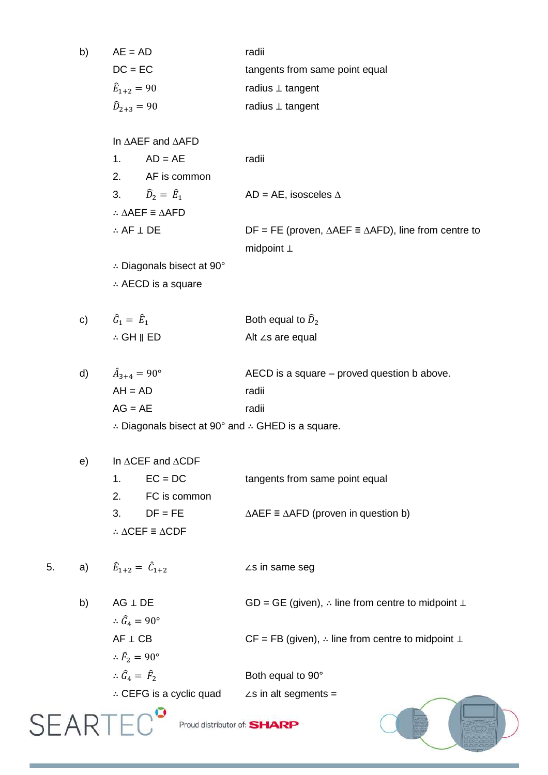| b) | $AE = AD$            | radii                          |
|----|----------------------|--------------------------------|
|    | $DC = EC$            | tangents from same point equal |
|    | $\hat{E}_{1+2} = 90$ | radius $\perp$ tangent         |
|    | $\hat{D}_{2+3} = 90$ | radius $\perp$ tangent         |

In ∆AEF and ∆AFD

| $1 \quad$                  | $AD = AE$                                       | radii                                                                          |
|----------------------------|-------------------------------------------------|--------------------------------------------------------------------------------|
| 2.                         | AF is common                                    |                                                                                |
|                            | 3. $\hat{D}_2 = \hat{E}_1$                      | AD = AE, isosceles $\Delta$                                                    |
|                            | $\therefore \triangle AEF \equiv \triangle AFD$ |                                                                                |
| $\therefore$ AF $\perp$ DE |                                                 | $DF = FE$ (proven, $\triangle AEF \equiv \triangle AFD$ ), line from centre to |
|                            |                                                 | midpoint $\perp$                                                               |

∴ Diagonals bisect at 90° AECD is a square

c) 
$$
\hat{G}_1 = \hat{E}_1
$$
 Both equal to  $\hat{D}_2$   
\n $\therefore$  GH  $\parallel$  ED Alt  $\angle$ s are equal

d)  $\hat{A}_{3+4} = 90^{\circ}$  AECD is a square – proved question b above. AH = AD radii AG = AE radii

 $\therefore$  Diagonals bisect at 90° and  $\therefore$  GHED is a square.

| e). | In $\triangle CEF$ and $\triangle CDF$ |                                                 |                                                             |
|-----|----------------------------------------|-------------------------------------------------|-------------------------------------------------------------|
|     |                                        | 1. $\text{EC} = \text{DC}$                      | tangents from same point equal                              |
|     |                                        | 2. FC is common                                 |                                                             |
|     |                                        | $3.$ DF = FE                                    | $\triangle AEF \equiv \triangle AFD$ (proven in question b) |
|     |                                        | $\therefore \triangle CEF \equiv \triangle CDF$ |                                                             |

5. a)  $\hat{E}_{1+2} = \hat{C}$ ∠s in same seg

| b) | $AG \perp DE$                      | GD = GE (given), $\therefore$ line from centre to midpoint $\perp$   |
|----|------------------------------------|----------------------------------------------------------------------|
|    | $\therefore \hat{G}_4 = 90^\circ$  |                                                                      |
|    | $AF \perp CB$                      | $CF = FB$ (given), $\therefore$ line from centre to midpoint $\perp$ |
|    | $\therefore \hat{F}_2 = 90^\circ$  |                                                                      |
|    | $\therefore \hat{G}_4 = \hat{F}_2$ | Both equal to 90°                                                    |
|    | $\therefore$ CEFG is a cyclic quad | $\angle$ s in alt segments =                                         |
|    |                                    |                                                                      |

 $SEARTEC$ <sup> $\bullet$ </sup> Proud distributor of: SHARP

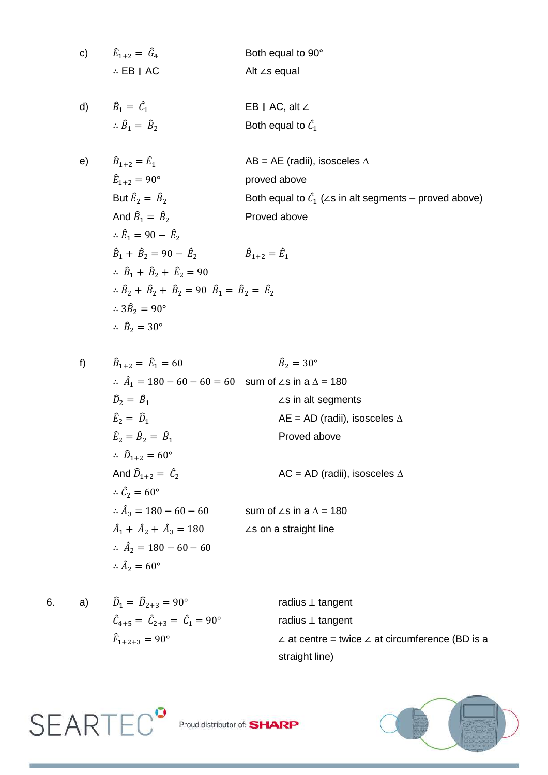c) 
$$
\hat{E}_{1+2} = \hat{G}_4
$$
 Both equal to 90°  
\n $\therefore$  EB || AC  
\nAlt  $\angle$ s equal

d)  $\hat{B}_1 = \hat{C}$  EB ∥ AC, alt ∠  $\therefore \hat{B}_1 = \hat{B}$  $\frac{1}{2}$  Both equal to  $\hat{C}_1$ 

e) 
$$
\hat{B}_{1+2} = \hat{E}_1
$$
 AB = AE (radii), isosceles  $\triangle$   
\n $\hat{E}_{1+2} = 90^\circ$  proved above  
\nBut  $\hat{E}_2 = \hat{B}_2$  Both equal to  $\hat{C}_1$  ( $\angle$ s in alt segments – proved above)  
\nAnd  $\hat{B}_1 = \hat{B}_2$  Proved above  
\n $\therefore \hat{E}_1 = 90 - \hat{E}_2$   
\n $\hat{B}_1 + \hat{B}_2 = 90 - \hat{E}_2$   
\n $\therefore \hat{B}_1 + \hat{B}_2 + \hat{E}_2 = 90$   
\n $\therefore \hat{B}_2 + \hat{B}_2 + \hat{B}_2 = 90 \hat{B}_1 = \hat{B}_2 = \hat{E}_2$   
\n $\therefore 3\hat{B}_2 = 90^\circ$   
\n $\therefore \hat{B}_2 = 30^\circ$ 

$$
\hat{B}_{1+2} = \hat{E}_1 = 60 \qquad \hat{B}_2 = 30^\circ
$$
\n
$$
\therefore \hat{A}_1 = 180 - 60 - 60 = 60 \text{ sum of } \angle \text{s in a } \Delta = 180
$$
\n
$$
\hat{D}_2 = \hat{B}_1 \qquad \qquad \angle \text{s in alt segments}
$$
\n
$$
\hat{E}_2 = \hat{D}_1 \qquad \qquad \text{AE} = \text{AD (radii), isosceles } \Delta
$$
\n
$$
\hat{E}_2 = \hat{B}_2 = \hat{B}_1 \qquad \qquad \text{Proved above}
$$
\n
$$
\therefore \hat{D}_{1+2} = 60^\circ
$$
\n
$$
\therefore \hat{A}_3 = 180 - 60 - 60 \qquad \qquad \text{sum of } \angle \text{s in a } \Delta = 180
$$
\n
$$
\hat{A}_1 + \hat{A}_2 + \hat{A}_3 = 180 \qquad \qquad \angle \text{s on a straight line}
$$
\n
$$
\therefore \hat{A}_2 = 180 - 60 - 60
$$
\n
$$
\therefore \hat{A}_2 = 60^\circ
$$

 $f$ 

6. a) 
$$
\hat{D}_1 = \hat{D}_{2+3} = 90^\circ
$$
 radius  $\perp$  tangent  
\n $\hat{C}_{4+5} = \hat{C}_{2+3} = \hat{C}_1 = 90^\circ$  radius  $\perp$  tangent  
\n $\hat{F}_{1+2+3} = 90^\circ$   $\perp$  at centre = twice  $\perp$  at circumference (BD is a straight line)